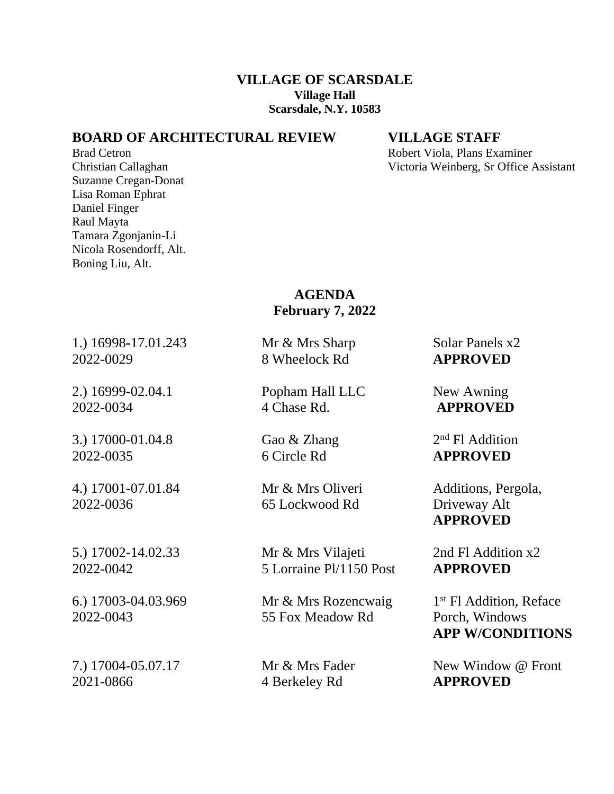### **VILLAGE OF SCARSDALE Village Hall Scarsdale, N.Y. 10583**

## **BOARD OF ARCHITECTURAL REVIEW VILLAGE STAFF**

Suzanne Cregan-Donat Lisa Roman Ephrat Daniel Finger Raul Mayta Tamara Zgonjanin-Li Nicola Rosendorff, Alt. Boning Liu, Alt.

Brad Cetron **Robert Viola**, Plans Examiner Christian Callaghan Victoria Weinberg, Sr Office Assistant

# **AGENDA February 7, 2022**

1.) 16998-17.01.243 Mr & Mrs Sharp Solar Panels x2 2022-0029 8 Wheelock Rd **APPROVED**

3.) 17000-01.04.8 Gao & Zhang 2022-0035 6 Circle Rd **APPROVED**

2022-0036 65 Lockwood Rd Driveway Alt

2021-0866 4 Berkeley Rd **APPROVED**

2.) 16999-02.04.1 Popham Hall LLC New Awning 2022-0034 4 Chase Rd. **APPROVED**

5.) 17002-14.02.33 Mr & Mrs Vilajeti 2nd Fl Addition x2 2022-0042 5 Lorraine Pl/1150 Post **APPROVED**

6.) 17003-04.03.969 Mr & Mrs Rozencwaig 1 2022-0043 55 Fox Meadow Rd Porch, Windows

 $2<sup>nd</sup>$  Fl Addition

4.) 17001-07.01.84 Mr & Mrs Oliveri Additions, Pergola, **APPROVED**

1<sup>st</sup> Fl Addition, Reface **APP W/CONDITIONS**

7.) 17004-05.07.17 Mr & Mrs Fader New Window @ Front